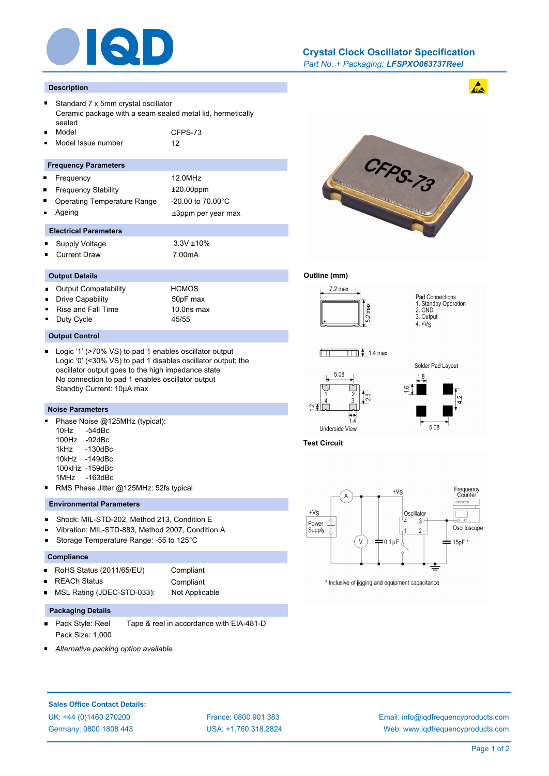

# *Part No. + Packaging: LFSPXO063737Reel* **Crystal Clock Oscillator Specification**

#### **Description**

- Standard 7 x 5mm crystal oscillator Ceramic package with a seam sealed metal lid, hermetically sealed Model CFPS-73
- Model Issue number 12

### **Frequency Parameters**

- Frequency 12.0MHz
- Frequency Stability ±20.00ppm
- Operating Temperature Range -20.00 to 70.00°C
- 
- Ageing the theorem of the three states are the three states and the three states  $\pm 3$ ppm per year max

# **Electrical Parameters**

- Supply Voltage 3.3V ±10% i.
- n. Current Draw 7.00mA

# **Output Details**

- Output Compatability HCMOS  $\blacksquare$ Drive Capability 50pF max Rise and Fall Time 10.0ns max
- Duty Cycle 45/55

### **Output Control**

Logic '1' (>70% VS) to pad 1 enables oscillator output Logic '0' (<30% VS) to pad 1 disables oscillator output; the oscillator output goes to the high impedance state No connection to pad 1 enables oscillator output Standby Current: 10µA max

# **Noise Parameters**

- $\blacksquare$ Phase Noise @125MHz (typical): 10Hz -54dBc
	- 100Hz -92dBc
	- 1kHz -130dBc
	- 10kHz -149dBc
	- 100kHz -159dBc 1MHz -163dBc
- RMS Phase Jitter @125MHz: 52fs typical

# **Environmental Parameters**

- $\blacksquare$ Shock: MIL-STD-202, Method 213, Condition E
- Vibration: MIL-STD-883, Method 2007, Condition A
- Storage Temperature Range: -55 to 125°C

#### **Compliance**

| RoHS Status (2011/65/EU)<br>п |  |
|-------------------------------|--|
|-------------------------------|--|

| <b>REACh Status</b>        | Compliant      |
|----------------------------|----------------|
| MSL Rating (JDEC-STD-033): | Not Applicable |

#### **Packaging Details**

Pack Style: Reel Tape & reel in accordance with EIA-481-D  $\blacksquare$ Pack Size: 1,000

**Compliant** 

*Alternative packing option available*



## **Outline (mm)**















\* Inclusive of jigging and equipment capacitance

# **Sales Office Contact Details:**

UK: +44 (0)1460 270200 France: 0800 901 383 Germany: 0800 1808 443

USA: +1.760.318.2824

Email: info@iqdfrequencyproducts.com Web: www.iqdfrequencyproducts.com